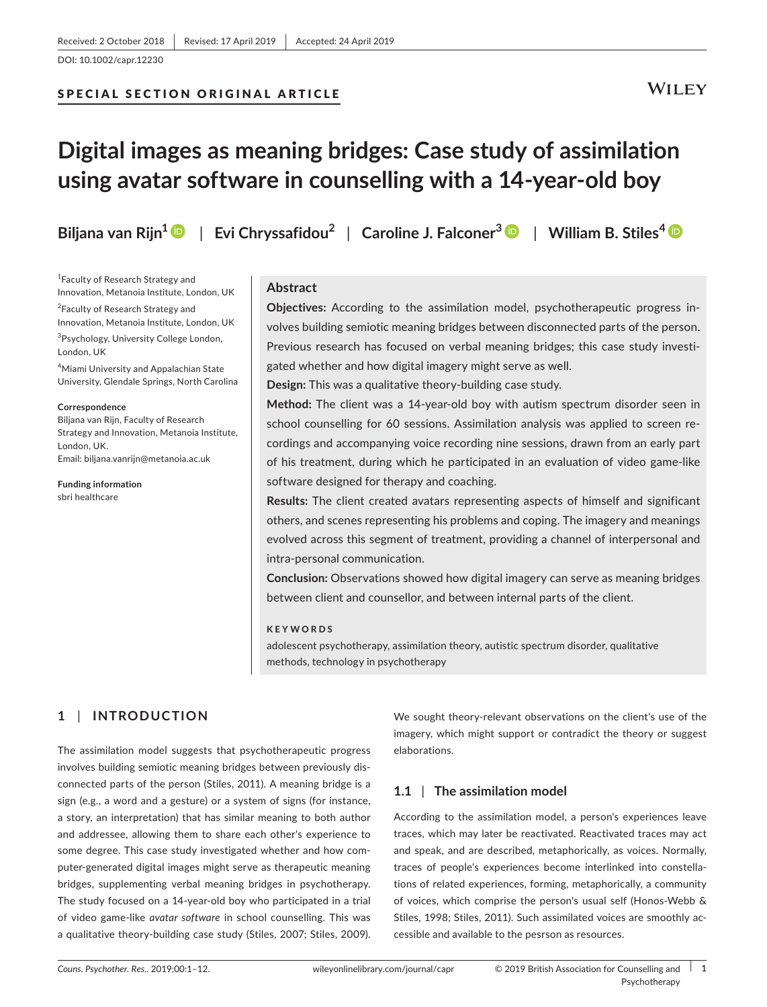# SPECIAL SECTION ORIGINAL ARTICLE

# **WILEY**

# **Digital images as meaning bridges: Case study of assimilation using avatar software in counselling with a 14‐year‐old boy**

**Biljana van Rijn[1](https://orcid.org/0000-0003-0313-6459)** | **Evi Chryssafidou<sup>2</sup>** | **Caroline J. Falconer<sup>3</sup>** | **William B. Stiles<sup>4</sup>**

<sup>1</sup> Faculty of Research Strategy and Innovation, Metanoia Institute, London, UK

<sup>2</sup> Faculty of Research Strategy and Innovation, Metanoia Institute, London, UK <sup>3</sup>Psychology, University College London, London, UK

4 Miami University and Appalachian State University, Glendale Springs, North Carolina

#### **Correspondence**

Biljana van Rijn, Faculty of Research Strategy and Innovation, Metanoia Institute, London, UK. Email: [biljana.vanrijn@metanoia.ac.uk](mailto:biljana.vanrijn@metanoia.ac.uk)

**Funding information** sbri healthcare

# **Abstract**

**Objectives:** According to the assimilation model, psychotherapeutic progress in‐ volves building semiotic meaning bridges between disconnected parts of the person. Previous research has focused on verbal meaning bridges; this case study investigated whether and how digital imagery might serve as well.

**Design:** This was a qualitative theory‐building case study.

**Method:** The client was a 14‐year‐old boy with autism spectrum disorder seen in school counselling for 60 sessions. Assimilation analysis was applied to screen recordings and accompanying voice recording nine sessions, drawn from an early part of his treatment, during which he participated in an evaluation of video game‐like software designed for therapy and coaching.

**Results:** The client created avatars representing aspects of himself and significant others, and scenes representing his problems and coping. The imagery and meanings evolved across this segment of treatment, providing a channel of interpersonal and intra‐personal communication.

**Conclusion:** Observations showed how digital imagery can serve as meaning bridges between client and counsellor, and between internal parts of the client.

#### **KEYWORDS**

adolescent psychotherapy, assimilation theory, autistic spectrum disorder, qualitative methods, technology in psychotherapy

# **1** | **INTRODUCTION**

The assimilation model suggests that psychotherapeutic progress involves building semiotic meaning bridges between previously dis‐ connected parts of the person (Stiles, 2011). A meaning bridge is a sign (e.g., a word and a gesture) or a system of signs (for instance, a story, an interpretation) that has similar meaning to both author and addressee, allowing them to share each other's experience to some degree. This case study investigated whether and how computer‐generated digital images might serve as therapeutic meaning bridges, supplementing verbal meaning bridges in psychotherapy. The study focused on a 14‐year‐old boy who participated in a trial of video game‐like *avatar software* in school counselling. This was a qualitative theory‐building case study (Stiles, 2007; Stiles, 2009).

We sought theory‐relevant observations on the client's use of the imagery, which might support or contradict the theory or suggest elaborations.

# **1.1** | **The assimilation model**

According to the assimilation model, a person's experiences leave traces, which may later be reactivated. Reactivated traces may act and speak, and are described, metaphorically, as voices. Normally, traces of people's experiences become interlinked into constella‐ tions of related experiences, forming, metaphorically, a community of voices, which comprise the person's usual self (Honos‐Webb & Stiles, 1998; Stiles, 2011). Such assimilated voices are smoothly accessible and available to the pesrson as resources.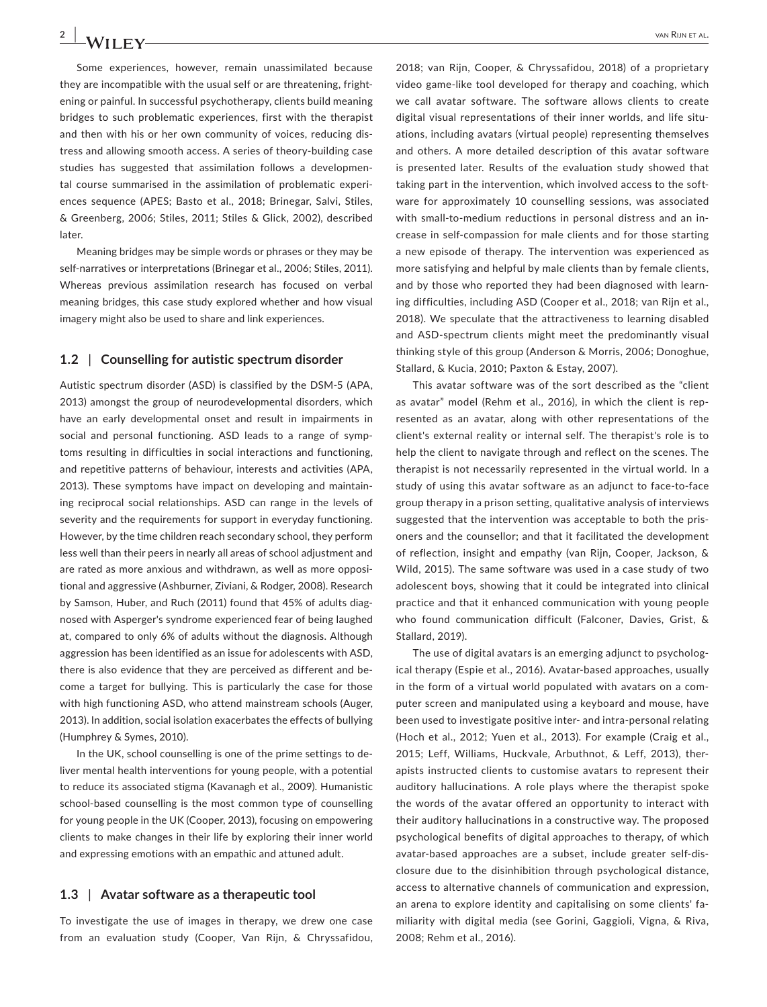Some experiences, however, remain unassimilated because they are incompatible with the usual self or are threatening, fright‐ ening or painful. In successful psychotherapy, clients build meaning bridges to such problematic experiences, first with the therapist and then with his or her own community of voices, reducing dis‐ tress and allowing smooth access. A series of theory‐building case studies has suggested that assimilation follows a developmen‐ tal course summarised in the assimilation of problematic experi‐ ences sequence (APES; Basto et al., 2018; Brinegar, Salvi, Stiles, & Greenberg, 2006; Stiles, 2011; Stiles & Glick, 2002), described later.

Meaning bridges may be simple words or phrases or they may be self-narratives or interpretations (Brinegar et al., 2006; Stiles, 2011). Whereas previous assimilation research has focused on verbal meaning bridges, this case study explored whether and how visual imagery might also be used to share and link experiences.

## **1.2** | **Counselling for autistic spectrum disorder**

Autistic spectrum disorder (ASD) is classified by the DSM‐5 (APA, 2013) amongst the group of neurodevelopmental disorders, which have an early developmental onset and result in impairments in social and personal functioning. ASD leads to a range of symptoms resulting in difficulties in social interactions and functioning, and repetitive patterns of behaviour, interests and activities (APA, 2013). These symptoms have impact on developing and maintain‐ ing reciprocal social relationships. ASD can range in the levels of severity and the requirements for support in everyday functioning. However, by the time children reach secondary school, they perform less well than their peers in nearly all areas of school adjustment and are rated as more anxious and withdrawn, as well as more opposi‐ tional and aggressive (Ashburner, Ziviani, & Rodger, 2008). Research by Samson, Huber, and Ruch (2011) found that 45% of adults diag‐ nosed with Asperger's syndrome experienced fear of being laughed at, compared to only 6% of adults without the diagnosis. Although aggression has been identified as an issue for adolescents with ASD, there is also evidence that they are perceived as different and be‐ come a target for bullying. This is particularly the case for those with high functioning ASD, who attend mainstream schools (Auger, 2013). In addition, social isolation exacerbates the effects of bullying (Humphrey & Symes, 2010).

In the UK, school counselling is one of the prime settings to de‐ liver mental health interventions for young people, with a potential to reduce its associated stigma (Kavanagh et al., 2009). Humanistic school-based counselling is the most common type of counselling for young people in the UK (Cooper, 2013), focusing on empowering clients to make changes in their life by exploring their inner world and expressing emotions with an empathic and attuned adult.

#### **1.3** | **Avatar software as a therapeutic tool**

To investigate the use of images in therapy, we drew one case from an evaluation study (Cooper, Van Rijn, & Chryssafidou,

2018; van Rijn, Cooper, & Chryssafidou, 2018) of a proprietary video game‐like tool developed for therapy and coaching, which we call avatar software. The software allows clients to create digital visual representations of their inner worlds, and life situations, including avatars (virtual people) representing themselves and others. A more detailed description of this avatar software is presented later. Results of the evaluation study showed that taking part in the intervention, which involved access to the soft‐ ware for approximately 10 counselling sessions, was associated with small-to-medium reductions in personal distress and an increase in self‐compassion for male clients and for those starting a new episode of therapy. The intervention was experienced as more satisfying and helpful by male clients than by female clients, and by those who reported they had been diagnosed with learning difficulties, including ASD (Cooper et al., 2018; van Rijn et al., 2018). We speculate that the attractiveness to learning disabled and ASD‐spectrum clients might meet the predominantly visual thinking style of this group (Anderson & Morris, 2006; Donoghue, Stallard, & Kucia, 2010; Paxton & Estay, 2007).

This avatar software was of the sort described as the "client as avatar" model (Rehm et al., 2016), in which the client is rep‐ resented as an avatar, along with other representations of the client's external reality or internal self. The therapist's role is to help the client to navigate through and reflect on the scenes. The therapist is not necessarily represented in the virtual world. In a study of using this avatar software as an adjunct to face‐to‐face group therapy in a prison setting, qualitative analysis of interviews suggested that the intervention was acceptable to both the pris‐ oners and the counsellor; and that it facilitated the development of reflection, insight and empathy (van Rijn, Cooper, Jackson, & Wild, 2015). The same software was used in a case study of two adolescent boys, showing that it could be integrated into clinical practice and that it enhanced communication with young people who found communication difficult (Falconer, Davies, Grist, & Stallard, 2019).

The use of digital avatars is an emerging adjunct to psycholog‐ ical therapy (Espie et al., 2016). Avatar‐based approaches, usually in the form of a virtual world populated with avatars on a com‐ puter screen and manipulated using a keyboard and mouse, have been used to investigate positive inter‐ and intra‐personal relating (Hoch et al., 2012; Yuen et al., 2013). For example (Craig et al., 2015; Leff, Williams, Huckvale, Arbuthnot, & Leff, 2013), ther‐ apists instructed clients to customise avatars to represent their auditory hallucinations. A role plays where the therapist spoke the words of the avatar offered an opportunity to interact with their auditory hallucinations in a constructive way. The proposed psychological benefits of digital approaches to therapy, of which avatar‐based approaches are a subset, include greater self‐dis‐ closure due to the disinhibition through psychological distance, access to alternative channels of communication and expression, an arena to explore identity and capitalising on some clients' familiarity with digital media (see Gorini, Gaggioli, Vigna, & Riva, 2008; Rehm et al., 2016).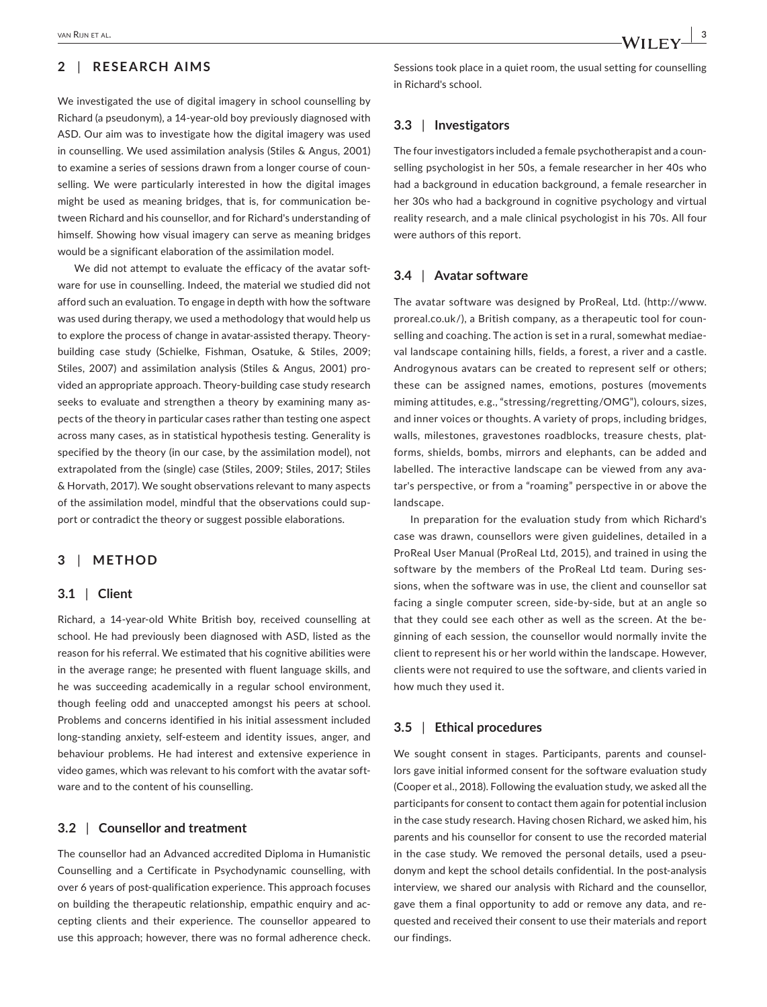# **2** | **RESEARCH AIMS**

We investigated the use of digital imagery in school counselling by Richard (a pseudonym), a 14‐year‐old boy previously diagnosed with ASD. Our aim was to investigate how the digital imagery was used in counselling. We used assimilation analysis (Stiles & Angus, 2001) to examine a series of sessions drawn from a longer course of coun‐ selling. We were particularly interested in how the digital images might be used as meaning bridges, that is, for communication be‐ tween Richard and his counsellor, and for Richard's understanding of himself. Showing how visual imagery can serve as meaning bridges would be a significant elaboration of the assimilation model.

We did not attempt to evaluate the efficacy of the avatar software for use in counselling. Indeed, the material we studied did not afford such an evaluation. To engage in depth with how the software was used during therapy, we used a methodology that would help us to explore the process of change in avatar‐assisted therapy. Theory‐ building case study (Schielke, Fishman, Osatuke, & Stiles, 2009; Stiles, 2007) and assimilation analysis (Stiles & Angus, 2001) pro‐ vided an appropriate approach. Theory‐building case study research seeks to evaluate and strengthen a theory by examining many aspects of the theory in particular cases rather than testing one aspect across many cases, as in statistical hypothesis testing. Generality is specified by the theory (in our case, by the assimilation model), not extrapolated from the (single) case (Stiles, 2009; Stiles, 2017; Stiles & Horvath, 2017). We sought observations relevant to many aspects of the assimilation model, mindful that the observations could sup‐ port or contradict the theory or suggest possible elaborations.

# **3** | **METHOD**

# **3.1** | **Client**

Richard, a 14‐year‐old White British boy, received counselling at school. He had previously been diagnosed with ASD, listed as the reason for his referral. We estimated that his cognitive abilities were in the average range; he presented with fluent language skills, and he was succeeding academically in a regular school environment, though feeling odd and unaccepted amongst his peers at school. Problems and concerns identified in his initial assessment included long‐standing anxiety, self‐esteem and identity issues, anger, and behaviour problems. He had interest and extensive experience in video games, which was relevant to his comfort with the avatar soft‐ ware and to the content of his counselling.

### **3.2** | **Counsellor and treatment**

The counsellor had an Advanced accredited Diploma in Humanistic Counselling and a Certificate in Psychodynamic counselling, with over 6 years of post-qualification experience. This approach focuses on building the therapeutic relationship, empathic enquiry and ac‐ cepting clients and their experience. The counsellor appeared to use this approach; however, there was no formal adherence check.

Sessions took place in a quiet room, the usual setting for counselling in Richard's school.

## **3.3** | **Investigators**

The four investigators included a female psychotherapist and a coun‐ selling psychologist in her 50s, a female researcher in her 40s who had a background in education background, a female researcher in her 30s who had a background in cognitive psychology and virtual reality research, and a male clinical psychologist in his 70s. All four were authors of this report.

### **3.4** | **Avatar software**

The avatar software was designed by ProReal, Ltd. ([http://www.](http://www.proreal.co.uk/) [proreal.co.uk/](http://www.proreal.co.uk/)), a British company, as a therapeutic tool for coun‐ selling and coaching. The action is set in a rural, somewhat mediae‐ val landscape containing hills, fields, a forest, a river and a castle. Androgynous avatars can be created to represent self or others; these can be assigned names, emotions, postures (movements miming attitudes, e.g., "stressing/regretting/OMG"), colours, sizes, and inner voices or thoughts. A variety of props, including bridges, walls, milestones, gravestones roadblocks, treasure chests, platforms, shields, bombs, mirrors and elephants, can be added and labelled. The interactive landscape can be viewed from any avatar's perspective, or from a "roaming" perspective in or above the landscape.

In preparation for the evaluation study from which Richard's case was drawn, counsellors were given guidelines, detailed in a ProReal User Manual (ProReal Ltd, 2015), and trained in using the software by the members of the ProReal Ltd team. During sessions, when the software was in use, the client and counsellor sat facing a single computer screen, side‐by‐side, but at an angle so that they could see each other as well as the screen. At the be‐ ginning of each session, the counsellor would normally invite the client to represent his or her world within the landscape. However, clients were not required to use the software, and clients varied in how much they used it.

### **3.5** | **Ethical procedures**

We sought consent in stages. Participants, parents and counsellors gave initial informed consent for the software evaluation study (Cooper et al., 2018). Following the evaluation study, we asked all the participants for consent to contact them again for potential inclusion in the case study research. Having chosen Richard, we asked him, his parents and his counsellor for consent to use the recorded material in the case study. We removed the personal details, used a pseudonym and kept the school details confidential. In the post-analysis interview, we shared our analysis with Richard and the counsellor, gave them a final opportunity to add or remove any data, and re‐ quested and received their consent to use their materials and report our findings.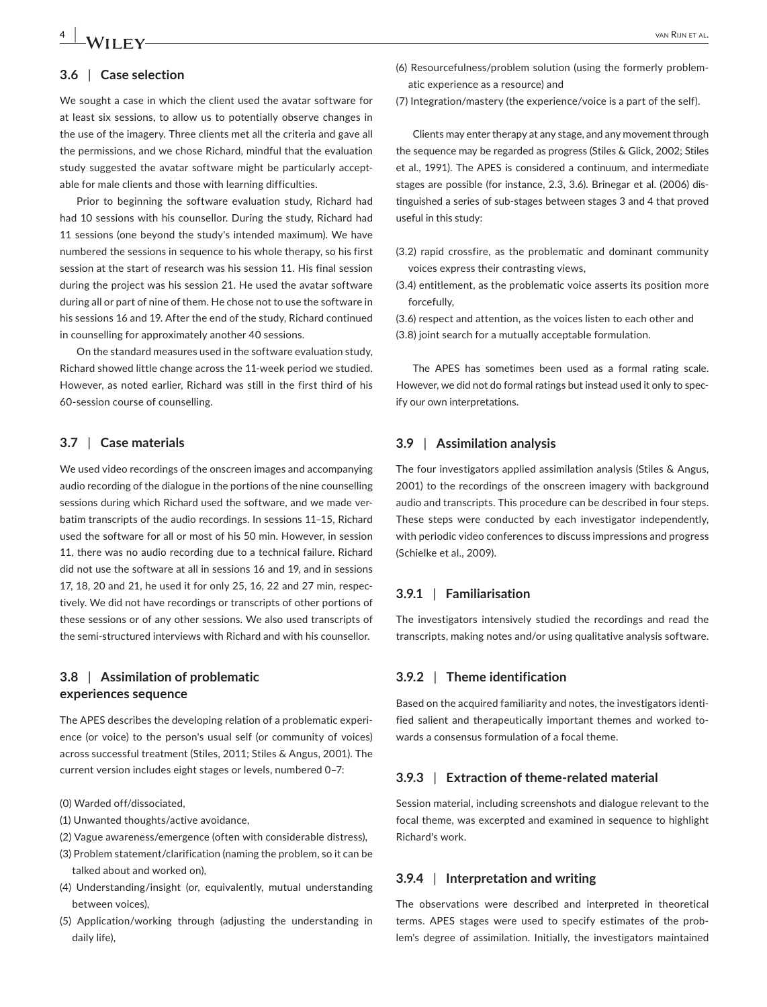# **4 1** *M/II* **<b>EV** *WAN* RIJN ET AL.

## **3.6** | **Case selection**

We sought a case in which the client used the avatar software for at least six sessions, to allow us to potentially observe changes in the use of the imagery. Three clients met all the criteria and gave all the permissions, and we chose Richard, mindful that the evaluation study suggested the avatar software might be particularly acceptable for male clients and those with learning difficulties.

Prior to beginning the software evaluation study, Richard had had 10 sessions with his counsellor. During the study, Richard had 11 sessions (one beyond the study's intended maximum). We have numbered the sessions in sequence to his whole therapy, so his first session at the start of research was his session 11. His final session during the project was his session 21. He used the avatar software during all or part of nine of them. He chose not to use the software in his sessions 16 and 19. After the end of the study, Richard continued in counselling for approximately another 40 sessions.

On the standard measures used in the software evaluation study, Richard showed little change across the 11‐week period we studied. However, as noted earlier, Richard was still in the first third of his 60‐session course of counselling.

# **3.7** | **Case materials**

We used video recordings of the onscreen images and accompanying audio recording of the dialogue in the portions of the nine counselling sessions during which Richard used the software, and we made ver‐ batim transcripts of the audio recordings. In sessions 11–15, Richard used the software for all or most of his 50 min. However, in session 11, there was no audio recording due to a technical failure. Richard did not use the software at all in sessions 16 and 19, and in sessions 17, 18, 20 and 21, he used it for only 25, 16, 22 and 27 min, respec‐ tively. We did not have recordings or transcripts of other portions of these sessions or of any other sessions. We also used transcripts of the semi‐structured interviews with Richard and with his counsellor.

# **3.8** | **Assimilation of problematic experiences sequence**

The APES describes the developing relation of a problematic experi‐ ence (or voice) to the person's usual self (or community of voices) across successful treatment (Stiles, 2011; Stiles & Angus, 2001). The current version includes eight stages or levels, numbered 0–7:

- (0) Warded off/dissociated,
- (1) Unwanted thoughts/active avoidance,
- (2) Vague awareness/emergence (often with considerable distress),
- (3) Problem statement/clarification (naming the problem, so it can be talked about and worked on),
- (4) Understanding/insight (or, equivalently, mutual understanding between voices),
- (5) Application/working through (adjusting the understanding in daily life),
- (6) Resourcefulness/problem solution (using the formerly problem‐ atic experience as a resource) and
- (7) Integration/mastery (the experience/voice is a part of the self).

Clients may enter therapy at any stage, and any movement through the sequence may be regarded as progress (Stiles & Glick, 2002; Stiles et al., 1991). The APES is considered a continuum, and intermediate stages are possible (for instance, 2.3, 3.6). Brinegar et al. (2006) dis‐ tinguished a series of sub‐stages between stages 3 and 4 that proved useful in this study:

- (3.2) rapid crossfire, as the problematic and dominant community voices express their contrasting views,
- (3.4) entitlement, as the problematic voice asserts its position more forcefully,

(3.6) respect and attention, as the voices listen to each other and (3.8) joint search for a mutually acceptable formulation.

The APES has sometimes been used as a formal rating scale. However, we did not do formal ratings but instead used it only to spec‐ ify our own interpretations.

#### **3.9** | **Assimilation analysis**

The four investigators applied assimilation analysis (Stiles & Angus, 2001) to the recordings of the onscreen imagery with background audio and transcripts. This procedure can be described in four steps. These steps were conducted by each investigator independently, with periodic video conferences to discuss impressions and progress (Schielke et al., 2009).

# **3.9.1** | **Familiarisation**

The investigators intensively studied the recordings and read the transcripts, making notes and/or using qualitative analysis software.

# **3.9.2** | **Theme identification**

Based on the acquired familiarity and notes, the investigators identi‐ fied salient and therapeutically important themes and worked towards a consensus formulation of a focal theme.

### **3.9.3** | **Extraction of theme‐related material**

Session material, including screenshots and dialogue relevant to the focal theme, was excerpted and examined in sequence to highlight Richard's work.

# **3.9.4** | **Interpretation and writing**

The observations were described and interpreted in theoretical terms. APES stages were used to specify estimates of the prob‐ lem's degree of assimilation. Initially, the investigators maintained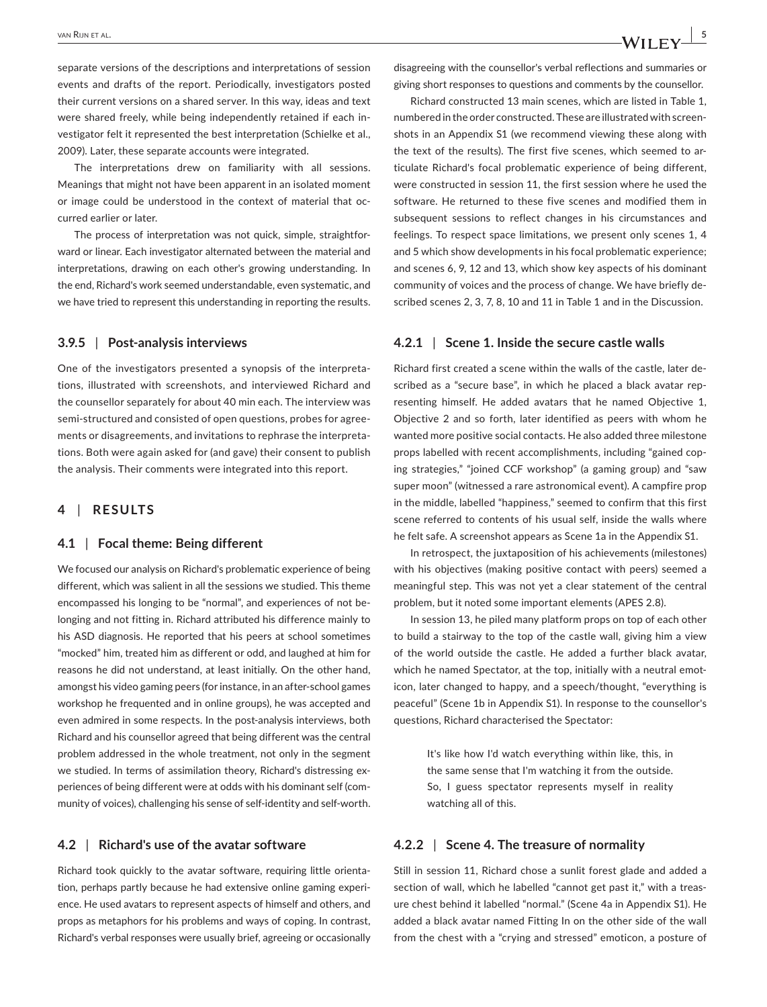separate versions of the descriptions and interpretations of session events and drafts of the report. Periodically, investigators posted their current versions on a shared server. In this way, ideas and text were shared freely, while being independently retained if each investigator felt it represented the best interpretation (Schielke et al., 2009). Later, these separate accounts were integrated.

The interpretations drew on familiarity with all sessions. Meanings that might not have been apparent in an isolated moment or image could be understood in the context of material that oc‐ curred earlier or later.

The process of interpretation was not quick, simple, straightfor‐ ward or linear. Each investigator alternated between the material and interpretations, drawing on each other's growing understanding. In the end, Richard's work seemed understandable, even systematic, and we have tried to represent this understanding in reporting the results.

# **3.9.5** | **Post‐analysis interviews**

One of the investigators presented a synopsis of the interpreta‐ tions, illustrated with screenshots, and interviewed Richard and the counsellor separately for about 40 min each. The interview was semi-structured and consisted of open questions, probes for agreements or disagreements, and invitations to rephrase the interpreta‐ tions. Both were again asked for (and gave) their consent to publish the analysis. Their comments were integrated into this report.

# **4** | **RESULTS**

#### **4.1** | **Focal theme: Being different**

We focused our analysis on Richard's problematic experience of being different, which was salient in all the sessions we studied. This theme encompassed his longing to be "normal", and experiences of not be‐ longing and not fitting in. Richard attributed his difference mainly to his ASD diagnosis. He reported that his peers at school sometimes "mocked" him, treated him as different or odd, and laughed at him for reasons he did not understand, at least initially. On the other hand, amongst his video gaming peers (for instance, in an after‐school games workshop he frequented and in online groups), he was accepted and even admired in some respects. In the post-analysis interviews, both Richard and his counsellor agreed that being different was the central problem addressed in the whole treatment, not only in the segment we studied. In terms of assimilation theory, Richard's distressing experiences of being different were at odds with his dominant self (community of voices), challenging his sense of self‐identity and self‐worth.

#### **4.2** | **Richard's use of the avatar software**

Richard took quickly to the avatar software, requiring little orienta‐ tion, perhaps partly because he had extensive online gaming experi‐ ence. He used avatars to represent aspects of himself and others, and props as metaphors for his problems and ways of coping. In contrast, Richard's verbal responses were usually brief, agreeing or occasionally disagreeing with the counsellor's verbal reflections and summaries or giving short responses to questions and comments by the counsellor.

Richard constructed 13 main scenes, which are listed in Table 1, numbered in the order constructed. These are illustrated with screen‐ shots in an Appendix S1 (we recommend viewing these along with the text of the results). The first five scenes, which seemed to ar‐ ticulate Richard's focal problematic experience of being different, were constructed in session 11, the first session where he used the software. He returned to these five scenes and modified them in subsequent sessions to reflect changes in his circumstances and feelings. To respect space limitations, we present only scenes 1, 4 and 5 which show developments in his focal problematic experience; and scenes 6, 9, 12 and 13, which show key aspects of his dominant community of voices and the process of change. We have briefly de‐ scribed scenes 2, 3, 7, 8, 10 and 11 in Table 1 and in the Discussion.

# **4.2.1** | **Scene 1. Inside the secure castle walls**

Richard first created a scene within the walls of the castle, later de‐ scribed as a "secure base", in which he placed a black avatar representing himself. He added avatars that he named Objective 1, Objective 2 and so forth, later identified as peers with whom he wanted more positive social contacts. He also added three milestone props labelled with recent accomplishments, including "gained cop‐ ing strategies," "joined CCF workshop" (a gaming group) and "saw super moon" (witnessed a rare astronomical event). A campfire prop in the middle, labelled "happiness," seemed to confirm that this first scene referred to contents of his usual self, inside the walls where he felt safe. A screenshot appears as Scene 1a in the Appendix S1.

In retrospect, the juxtaposition of his achievements (milestones) with his objectives (making positive contact with peers) seemed a meaningful step. This was not yet a clear statement of the central problem, but it noted some important elements (APES 2.8).

In session 13, he piled many platform props on top of each other to build a stairway to the top of the castle wall, giving him a view of the world outside the castle. He added a further black avatar, which he named Spectator, at the top, initially with a neutral emoticon, later changed to happy, and a speech/thought, "everything is peaceful" (Scene 1b in Appendix S1). In response to the counsellor's questions, Richard characterised the Spectator:

> It's like how I'd watch everything within like, this, in the same sense that I'm watching it from the outside. So, I guess spectator represents myself in reality watching all of this.

#### **4.2.2** | **Scene 4. The treasure of normality**

Still in session 11, Richard chose a sunlit forest glade and added a section of wall, which he labelled "cannot get past it," with a treasure chest behind it labelled "normal." (Scene 4a in Appendix S1). He added a black avatar named Fitting In on the other side of the wall from the chest with a "crying and stressed" emoticon, a posture of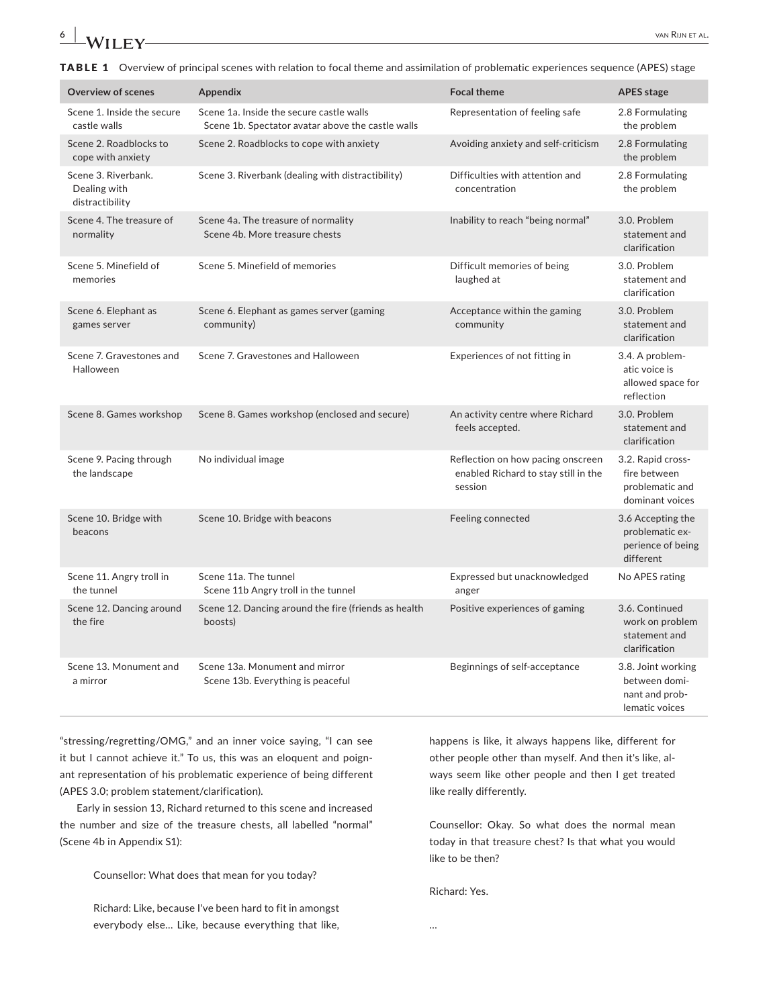# **6 1** *A/II* **FX/** *NA/II* **FX/** *P*

TABLE 1 Overview of principal scenes with relation to focal theme and assimilation of problematic experiences sequence (APES) stage

| <b>Overview of scenes</b>                              | Appendix                                                                                      | <b>Focal theme</b>                                                                   | <b>APES</b> stage                                                       |
|--------------------------------------------------------|-----------------------------------------------------------------------------------------------|--------------------------------------------------------------------------------------|-------------------------------------------------------------------------|
| Scene 1. Inside the secure<br>castle walls             | Scene 1a. Inside the secure castle walls<br>Scene 1b. Spectator avatar above the castle walls | Representation of feeling safe                                                       | 2.8 Formulating<br>the problem                                          |
| Scene 2. Roadblocks to<br>cope with anxiety            | Scene 2. Roadblocks to cope with anxiety                                                      | Avoiding anxiety and self-criticism                                                  | 2.8 Formulating<br>the problem                                          |
| Scene 3. Riverbank.<br>Dealing with<br>distractibility | Scene 3. Riverbank (dealing with distractibility)                                             | Difficulties with attention and<br>concentration                                     | 2.8 Formulating<br>the problem                                          |
| Scene 4. The treasure of<br>normality                  | Scene 4a. The treasure of normality<br>Scene 4b. More treasure chests                         | Inability to reach "being normal"                                                    | 3.0. Problem<br>statement and<br>clarification                          |
| Scene 5. Minefield of<br>memories                      | Scene 5. Minefield of memories                                                                | Difficult memories of being<br>laughed at                                            | 3.0. Problem<br>statement and<br>clarification                          |
| Scene 6. Elephant as<br>games server                   | Scene 6. Elephant as games server (gaming<br>community)                                       | Acceptance within the gaming<br>community                                            | 3.0. Problem<br>statement and<br>clarification                          |
| Scene 7. Gravestones and<br>Halloween                  | Scene 7. Gravestones and Halloween                                                            | Experiences of not fitting in                                                        | 3.4. A problem-<br>atic voice is<br>allowed space for<br>reflection     |
| Scene 8. Games workshop                                | Scene 8. Games workshop (enclosed and secure)                                                 | An activity centre where Richard<br>feels accepted.                                  | 3.0. Problem<br>statement and<br>clarification                          |
| Scene 9. Pacing through<br>the landscape               | No individual image                                                                           | Reflection on how pacing onscreen<br>enabled Richard to stay still in the<br>session | 3.2. Rapid cross-<br>fire between<br>problematic and<br>dominant voices |
| Scene 10. Bridge with<br>beacons                       | Scene 10. Bridge with beacons                                                                 | Feeling connected                                                                    | 3.6 Accepting the<br>problematic ex-<br>perience of being<br>different  |
| Scene 11. Angry troll in<br>the tunnel                 | Scene 11a. The tunnel<br>Scene 11b Angry troll in the tunnel                                  | Expressed but unacknowledged<br>anger                                                | No APES rating                                                          |
| Scene 12. Dancing around<br>the fire                   | Scene 12. Dancing around the fire (friends as health<br>boosts)                               | Positive experiences of gaming                                                       | 3.6. Continued<br>work on problem<br>statement and<br>clarification     |
| Scene 13. Monument and<br>a mirror                     | Scene 13a. Monument and mirror<br>Scene 13b. Everything is peaceful                           | Beginnings of self-acceptance                                                        | 3.8. Joint working<br>between domi-<br>nant and prob-<br>lematic voices |

"stressing/regretting/OMG," and an inner voice saying, "I can see it but I cannot achieve it." To us, this was an eloquent and poignant representation of his problematic experience of being different (APES 3.0; problem statement/clarification).

Early in session 13, Richard returned to this scene and increased the number and size of the treasure chests, all labelled "normal" (Scene 4b in Appendix S1):

Counsellor: What does that mean for you today?

Richard: Like, because I've been hard to fit in amongst everybody else… Like, because everything that like, happens is like, it always happens like, different for other people other than myself. And then it's like, al‐ ways seem like other people and then I get treated like really differently.

Counsellor: Okay. So what does the normal mean today in that treasure chest? Is that what you would like to be then?

Richard: Yes.

…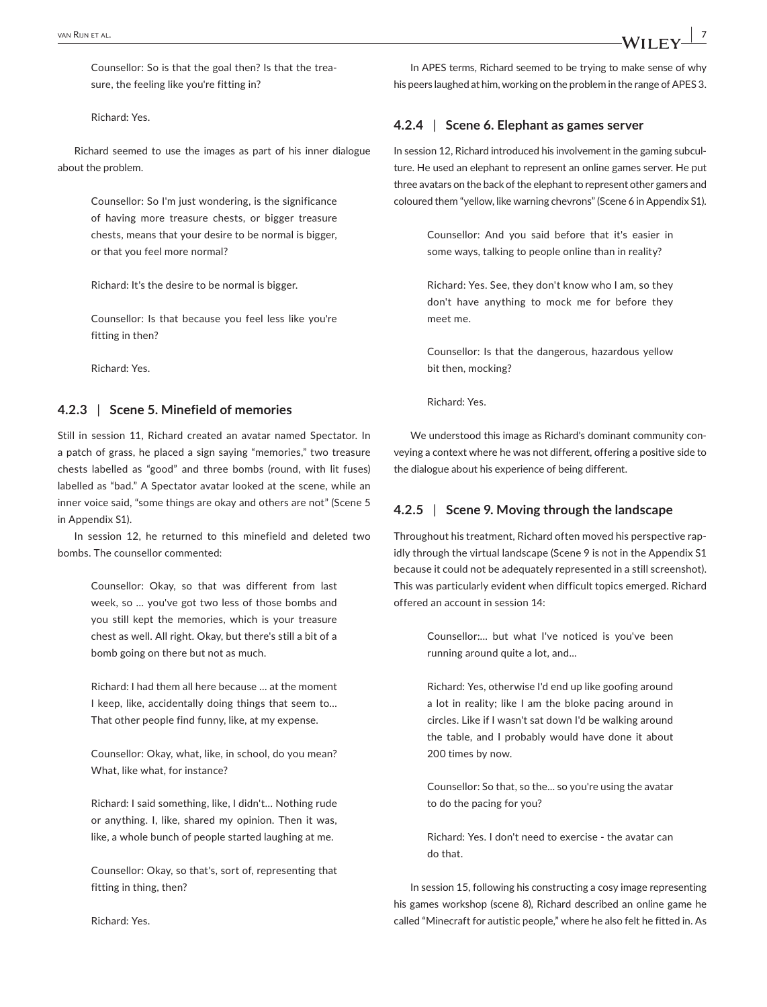Counsellor: So is that the goal then? Is that the trea‐ sure, the feeling like you're fitting in?

Richard: Yes.

Richard seemed to use the images as part of his inner dialogue about the problem.

> Counsellor: So I'm just wondering, is the significance of having more treasure chests, or bigger treasure chests, means that your desire to be normal is bigger, or that you feel more normal?

Richard: It's the desire to be normal is bigger.

Counsellor: Is that because you feel less like you're fitting in then?

Richard: Yes.

# **4.2.3** | **Scene 5. Minefield of memories**

Still in session 11, Richard created an avatar named Spectator. In a patch of grass, he placed a sign saying "memories," two treasure chests labelled as "good" and three bombs (round, with lit fuses) labelled as "bad." A Spectator avatar looked at the scene, while an inner voice said, "some things are okay and others are not" (Scene 5 in Appendix S1).

In session 12, he returned to this minefield and deleted two bombs. The counsellor commented:

> Counsellor: Okay, so that was different from last week, so … you've got two less of those bombs and you still kept the memories, which is your treasure chest as well. All right. Okay, but there's still a bit of a bomb going on there but not as much.

> Richard: I had them all here because … at the moment I keep, like, accidentally doing things that seem to… That other people find funny, like, at my expense.

> Counsellor: Okay, what, like, in school, do you mean? What, like what, for instance?

> Richard: I said something, like, I didn't… Nothing rude or anything. I, like, shared my opinion. Then it was, like, a whole bunch of people started laughing at me.

> Counsellor: Okay, so that's, sort of, representing that fitting in thing, then?

In APES terms, Richard seemed to be trying to make sense of why his peers laughed at him, working on the problem in the range of APES 3.

## **4.2.4** | **Scene 6. Elephant as games server**

In session 12, Richard introduced his involvement in the gaming subculture. He used an elephant to represent an online games server. He put three avatars on the back of the elephant to represent other gamers and coloured them "yellow, like warning chevrons" (Scene 6 in Appendix S1).

> Counsellor: And you said before that it's easier in some ways, talking to people online than in reality?

> Richard: Yes. See, they don't know who I am, so they don't have anything to mock me for before they meet me.

> Counsellor: Is that the dangerous, hazardous yellow bit then, mocking?

Richard: Yes.

We understood this image as Richard's dominant community conveying a context where he was not different, offering a positive side to the dialogue about his experience of being different.

# **4.2.5** | **Scene 9. Moving through the landscape**

Throughout his treatment, Richard often moved his perspective rap‐ idly through the virtual landscape (Scene 9 is not in the Appendix S1 because it could not be adequately represented in a still screenshot). This was particularly evident when difficult topics emerged. Richard offered an account in session 14:

> Counsellor:... but what I've noticed is you've been running around quite a lot, and...

> Richard: Yes, otherwise I'd end up like goofing around a lot in reality; like I am the bloke pacing around in circles. Like if I wasn't sat down I'd be walking around the table, and I probably would have done it about 200 times by now.

> Counsellor: So that, so the... so you're using the avatar to do the pacing for you?

> Richard: Yes. I don't need to exercise ‐ the avatar can do that.

In session 15, following his constructing a cosy image representing his games workshop (scene 8), Richard described an online game he called "Minecraft for autistic people," where he also felt he fitted in. As

Richard: Yes.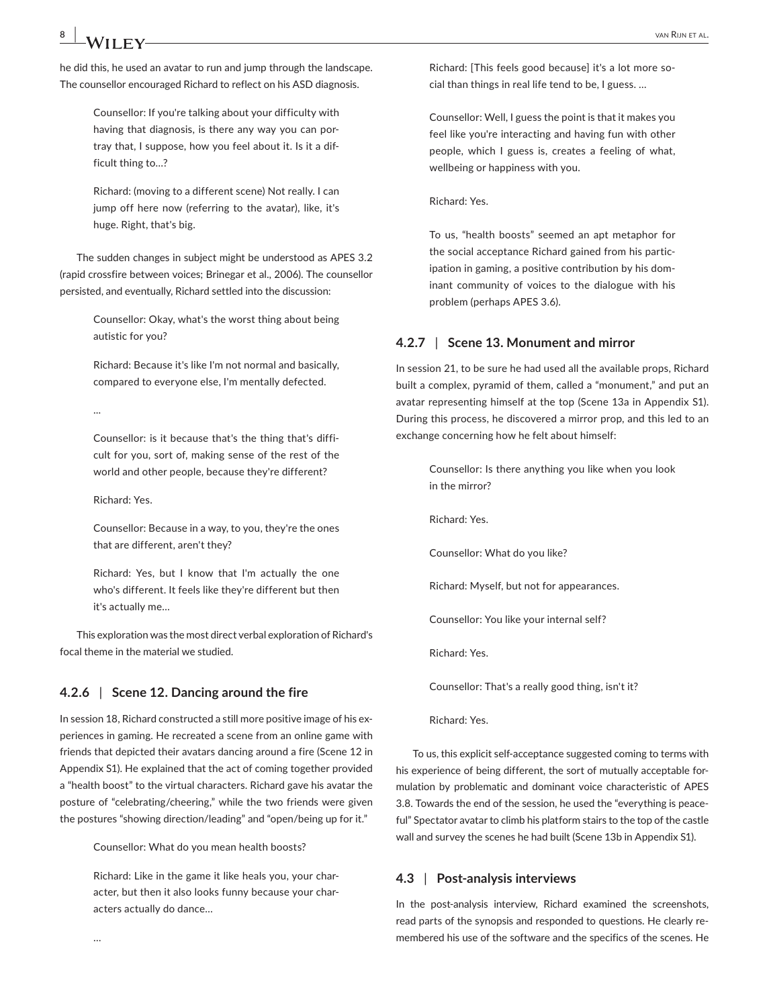he did this, he used an avatar to run and jump through the landscape. The counsellor encouraged Richard to reflect on his ASD diagnosis.

> Counsellor: If you're talking about your difficulty with having that diagnosis, is there any way you can por‐ tray that, I suppose, how you feel about it. Is it a dif‐ ficult thing to…?

> Richard: (moving to a different scene) Not really. I can jump off here now (referring to the avatar), like, it's huge. Right, that's big.

The sudden changes in subject might be understood as APES 3.2 (rapid crossfire between voices; Brinegar et al., 2006). The counsellor persisted, and eventually, Richard settled into the discussion:

> Counsellor: Okay, what's the worst thing about being autistic for you?

> Richard: Because it's like I'm not normal and basically, compared to everyone else, I'm mentally defected.

...

Counsellor: is it because that's the thing that's diffi‐ cult for you, sort of, making sense of the rest of the world and other people, because they're different?

Richard: Yes.

Counsellor: Because in a way, to you, they're the ones that are different, aren't they?

Richard: Yes, but I know that I'm actually the one who's different. It feels like they're different but then it's actually me…

This exploration was the most direct verbal exploration of Richard's focal theme in the material we studied.

# **4.2.6** | **Scene 12. Dancing around the fire**

In session 18, Richard constructed a still more positive image of his experiences in gaming. He recreated a scene from an online game with friends that depicted their avatars dancing around a fire (Scene 12 in Appendix S1). He explained that the act of coming together provided a "health boost" to the virtual characters. Richard gave his avatar the posture of "celebrating/cheering," while the two friends were given the postures "showing direction/leading" and "open/being up for it."

Counsellor: What do you mean health boosts?

Richard: Like in the game it like heals you, your char‐ acter, but then it also looks funny because your char‐ acters actually do dance…

Richard: [This feels good because] it's a lot more so‐ cial than things in real life tend to be, I guess. …

Counsellor: Well, I guess the point is that it makes you feel like you're interacting and having fun with other people, which I guess is, creates a feeling of what, wellbeing or happiness with you.

Richard: Yes.

To us, "health boosts" seemed an apt metaphor for the social acceptance Richard gained from his partic‐ ipation in gaming, a positive contribution by his dominant community of voices to the dialogue with his problem (perhaps APES 3.6).

# **4.2.7** | **Scene 13. Monument and mirror**

In session 21, to be sure he had used all the available props, Richard built a complex, pyramid of them, called a "monument," and put an avatar representing himself at the top (Scene 13a in Appendix S1). During this process, he discovered a mirror prop, and this led to an exchange concerning how he felt about himself:

> Counsellor: Is there anything you like when you look in the mirror?

Richard: Yes.

Counsellor: What do you like?

Richard: Myself, but not for appearances.

Counsellor: You like your internal self?

Richard: Yes.

Counsellor: That's a really good thing, isn't it?

Richard: Yes.

To us, this explicit self‐acceptance suggested coming to terms with his experience of being different, the sort of mutually acceptable formulation by problematic and dominant voice characteristic of APES 3.8. Towards the end of the session, he used the "everything is peace‐ ful" Spectator avatar to climb his platform stairs to the top of the castle wall and survey the scenes he had built (Scene 13b in Appendix S1).

### **4.3** | **Post‐analysis interviews**

In the post-analysis interview, Richard examined the screenshots, read parts of the synopsis and responded to questions. He clearly re‐ membered his use of the software and the specifics of the scenes. He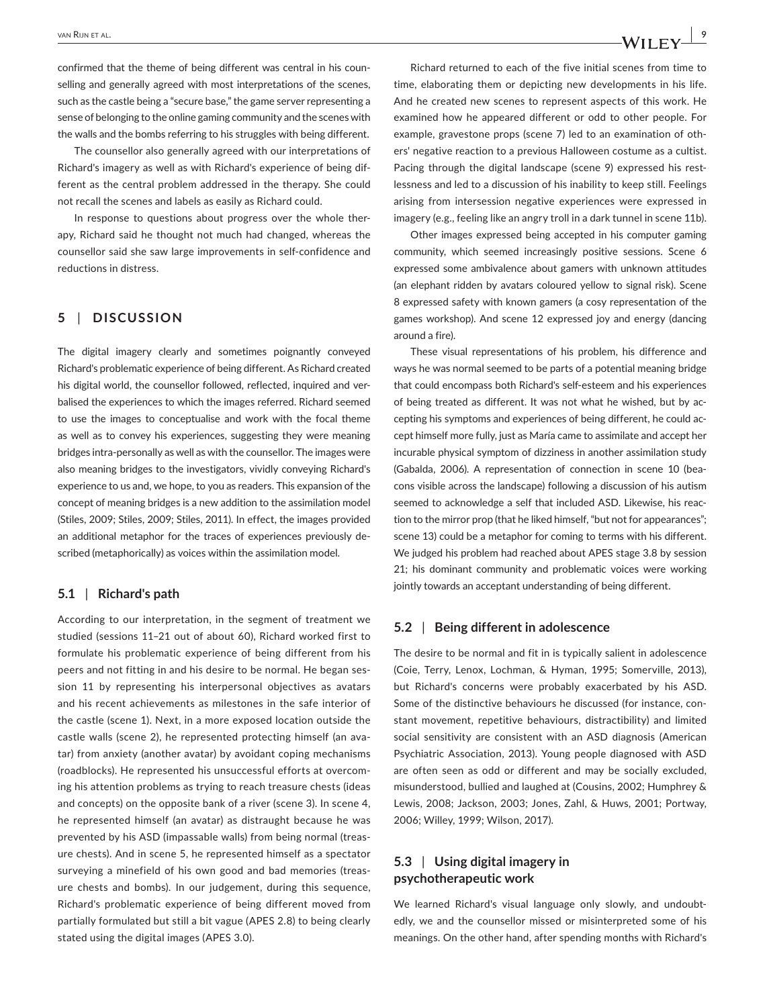confirmed that the theme of being different was central in his counselling and generally agreed with most interpretations of the scenes, such as the castle being a "secure base," the game server representing a sense of belonging to the online gaming community and the scenes with the walls and the bombs referring to his struggles with being different.

The counsellor also generally agreed with our interpretations of Richard's imagery as well as with Richard's experience of being dif‐ ferent as the central problem addressed in the therapy. She could not recall the scenes and labels as easily as Richard could.

In response to questions about progress over the whole therapy, Richard said he thought not much had changed, whereas the counsellor said she saw large improvements in self‐confidence and reductions in distress.

# **5** | **DISCUSSION**

The digital imagery clearly and sometimes poignantly conveyed Richard's problematic experience of being different. As Richard created his digital world, the counsellor followed, reflected, inquired and verbalised the experiences to which the images referred. Richard seemed to use the images to conceptualise and work with the focal theme as well as to convey his experiences, suggesting they were meaning bridges intra‐personally as well as with the counsellor. The images were also meaning bridges to the investigators, vividly conveying Richard's experience to us and, we hope, to you as readers. This expansion of the concept of meaning bridges is a new addition to the assimilation model (Stiles, 2009; Stiles, 2009; Stiles, 2011). In effect, the images provided an additional metaphor for the traces of experiences previously de‐ scribed (metaphorically) as voices within the assimilation model.

# **5.1** | **Richard's path**

According to our interpretation, in the segment of treatment we studied (sessions 11–21 out of about 60), Richard worked first to formulate his problematic experience of being different from his peers and not fitting in and his desire to be normal. He began ses‐ sion 11 by representing his interpersonal objectives as avatars and his recent achievements as milestones in the safe interior of the castle (scene 1). Next, in a more exposed location outside the castle walls (scene 2), he represented protecting himself (an ava‐ tar) from anxiety (another avatar) by avoidant coping mechanisms (roadblocks). He represented his unsuccessful efforts at overcom‐ ing his attention problems as trying to reach treasure chests (ideas and concepts) on the opposite bank of a river (scene 3). In scene 4, he represented himself (an avatar) as distraught because he was prevented by his ASD (impassable walls) from being normal (treas‐ ure chests). And in scene 5, he represented himself as a spectator surveying a minefield of his own good and bad memories (treas‐ ure chests and bombs). In our judgement, during this sequence, Richard's problematic experience of being different moved from partially formulated but still a bit vague (APES 2.8) to being clearly stated using the digital images (APES 3.0).

Richard returned to each of the five initial scenes from time to time, elaborating them or depicting new developments in his life. And he created new scenes to represent aspects of this work. He examined how he appeared different or odd to other people. For example, gravestone props (scene 7) led to an examination of oth‐ ers' negative reaction to a previous Halloween costume as a cultist. Pacing through the digital landscape (scene 9) expressed his restlessness and led to a discussion of his inability to keep still. Feelings arising from intersession negative experiences were expressed in imagery (e.g., feeling like an angry troll in a dark tunnel in scene 11b).

Other images expressed being accepted in his computer gaming community, which seemed increasingly positive sessions. Scene 6 expressed some ambivalence about gamers with unknown attitudes (an elephant ridden by avatars coloured yellow to signal risk). Scene 8 expressed safety with known gamers (a cosy representation of the games workshop). And scene 12 expressed joy and energy (dancing around a fire).

These visual representations of his problem, his difference and ways he was normal seemed to be parts of a potential meaning bridge that could encompass both Richard's self‐esteem and his experiences of being treated as different. It was not what he wished, but by ac‐ cepting his symptoms and experiences of being different, he could accept himself more fully, just as María came to assimilate and accept her incurable physical symptom of dizziness in another assimilation study (Gabalda, 2006). A representation of connection in scene 10 (bea‐ cons visible across the landscape) following a discussion of his autism seemed to acknowledge a self that included ASD. Likewise, his reaction to the mirror prop (that he liked himself, "but not for appearances"; scene 13) could be a metaphor for coming to terms with his different. We judged his problem had reached about APES stage 3.8 by session 21; his dominant community and problematic voices were working jointly towards an acceptant understanding of being different.

# **5.2** | **Being different in adolescence**

The desire to be normal and fit in is typically salient in adolescence (Coie, Terry, Lenox, Lochman, & Hyman, 1995; Somerville, 2013), but Richard's concerns were probably exacerbated by his ASD. Some of the distinctive behaviours he discussed (for instance, con‐ stant movement, repetitive behaviours, distractibility) and limited social sensitivity are consistent with an ASD diagnosis (American Psychiatric Association, 2013). Young people diagnosed with ASD are often seen as odd or different and may be socially excluded, misunderstood, bullied and laughed at (Cousins, 2002; Humphrey & Lewis, 2008; Jackson, 2003; Jones, Zahl, & Huws, 2001; Portway, 2006; Willey, 1999; Wilson, 2017).

# **5.3** | **Using digital imagery in psychotherapeutic work**

We learned Richard's visual language only slowly, and undoubtedly, we and the counsellor missed or misinterpreted some of his meanings. On the other hand, after spending months with Richard's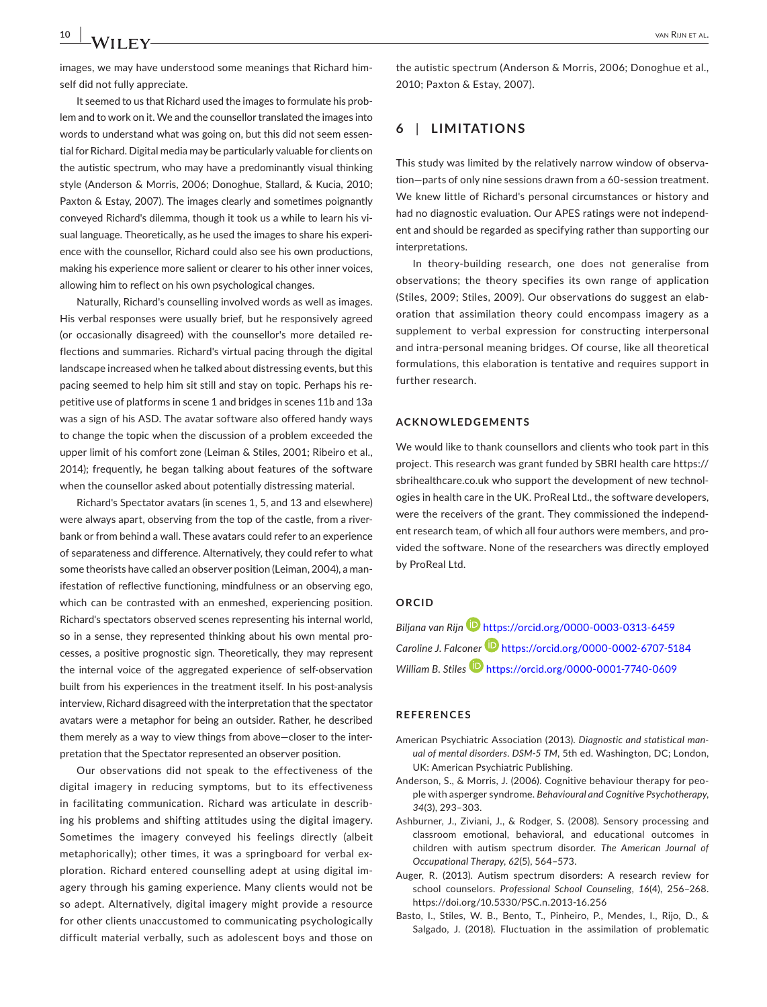images, we may have understood some meanings that Richard him‐ self did not fully appreciate.

It seemed to us that Richard used the images to formulate his prob‐ lem and to work on it. We and the counsellor translated the images into words to understand what was going on, but this did not seem essen‐ tial for Richard. Digital media may be particularly valuable for clients on the autistic spectrum, who may have a predominantly visual thinking style (Anderson & Morris, 2006; Donoghue, Stallard, & Kucia, 2010; Paxton & Estay, 2007). The images clearly and sometimes poignantly conveyed Richard's dilemma, though it took us a while to learn his vi‐ sual language. Theoretically, as he used the images to share his experi‐ ence with the counsellor, Richard could also see his own productions, making his experience more salient or clearer to his other inner voices, allowing him to reflect on his own psychological changes.

Naturally, Richard's counselling involved words as well as images. His verbal responses were usually brief, but he responsively agreed (or occasionally disagreed) with the counsellor's more detailed re‐ flections and summaries. Richard's virtual pacing through the digital landscape increased when he talked about distressing events, but this pacing seemed to help him sit still and stay on topic. Perhaps his re‐ petitive use of platforms in scene 1 and bridges in scenes 11b and 13a was a sign of his ASD. The avatar software also offered handy ways to change the topic when the discussion of a problem exceeded the upper limit of his comfort zone (Leiman & Stiles, 2001; Ribeiro et al., 2014); frequently, he began talking about features of the software when the counsellor asked about potentially distressing material.

Richard's Spectator avatars (in scenes 1, 5, and 13 and elsewhere) were always apart, observing from the top of the castle, from a riverbank or from behind a wall. These avatars could refer to an experience of separateness and difference. Alternatively, they could refer to what some theorists have called an observer position (Leiman, 2004), a man‐ ifestation of reflective functioning, mindfulness or an observing ego, which can be contrasted with an enmeshed, experiencing position. Richard's spectators observed scenes representing his internal world, so in a sense, they represented thinking about his own mental processes, a positive prognostic sign. Theoretically, they may represent the internal voice of the aggregated experience of self‐observation built from his experiences in the treatment itself. In his post-analysis interview, Richard disagreed with the interpretation that the spectator avatars were a metaphor for being an outsider. Rather, he described them merely as a way to view things from above—closer to the inter‐ pretation that the Spectator represented an observer position.

Our observations did not speak to the effectiveness of the digital imagery in reducing symptoms, but to its effectiveness in facilitating communication. Richard was articulate in describ‐ ing his problems and shifting attitudes using the digital imagery. Sometimes the imagery conveyed his feelings directly (albeit metaphorically); other times, it was a springboard for verbal ex‐ ploration. Richard entered counselling adept at using digital im‐ agery through his gaming experience. Many clients would not be so adept. Alternatively, digital imagery might provide a resource for other clients unaccustomed to communicating psychologically difficult material verbally, such as adolescent boys and those on

the autistic spectrum (Anderson & Morris, 2006; Donoghue et al., 2010; Paxton & Estay, 2007).

# **6** | **LIMITATIONS**

This study was limited by the relatively narrow window of observa‐ tion—parts of only nine sessions drawn from a 60‐session treatment. We knew little of Richard's personal circumstances or history and had no diagnostic evaluation. Our APES ratings were not independ‐ ent and should be regarded as specifying rather than supporting our interpretations.

In theory‐building research, one does not generalise from observations; the theory specifies its own range of application (Stiles, 2009; Stiles, 2009). Our observations do suggest an elab‐ oration that assimilation theory could encompass imagery as a supplement to verbal expression for constructing interpersonal and intra‐personal meaning bridges. Of course, like all theoretical formulations, this elaboration is tentative and requires support in further research.

#### **ACKNOWLEDGEMENTS**

We would like to thank counsellors and clients who took part in this project. This research was grant funded by SBRI health care [https://](https://sbrihealthcare.co.uk) [sbrihealthcare.co.uk](https://sbrihealthcare.co.uk) who support the development of new technologies in health care in the UK. ProReal Ltd., the software developers, were the receivers of the grant. They commissioned the independ‐ ent research team, of which all four authors were members, and pro‐ vided the software. None of the researchers was directly employed by ProReal Ltd.

### **ORCID**

*Biljana van Rijn* <https://orcid.org/0000-0003-0313-6459> *Caroline J. Falconer* <https://orcid.org/0000-0002-6707-5184> *William B. Stiles* <https://orcid.org/0000-0001-7740-0609>

#### **REFERENCES**

- American Psychiatric Association (2013). *Diagnostic and statistical man‐ ual of mental disorders. DSM‐5 TM*, 5th ed. Washington, DC; London, UK: American Psychiatric Publishing.
- Anderson, S., & Morris, J. (2006). Cognitive behaviour therapy for peo‐ ple with asperger syndrome. *Behavioural and Cognitive Psychotherapy*, *34*(3), 293–303.
- Ashburner, J., Ziviani, J., & Rodger, S. (2008). Sensory processing and classroom emotional, behavioral, and educational outcomes in children with autism spectrum disorder. *The American Journal of Occupational Therapy*, *62*(5), 564–573.
- Auger, R. (2013). Autism spectrum disorders: A research review for school counselors. *Professional School Counseling*, *16*(4), 256–268. <https://doi.org/10.5330/PSC.n.2013-16.256>
- Basto, I., Stiles, W. B., Bento, T., Pinheiro, P., Mendes, I., Rijo, D., & Salgado, J. (2018). Fluctuation in the assimilation of problematic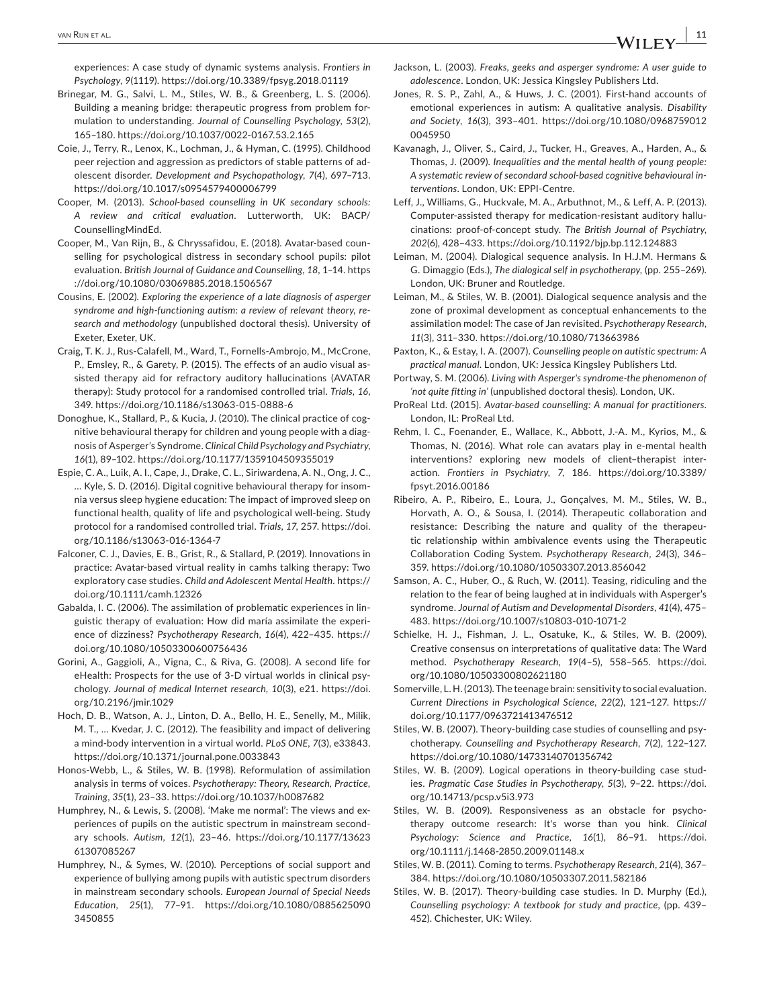experiences: A case study of dynamic systems analysis. *Frontiers in Psychology*, *9*(1119). <https://doi.org/10.3389/fpsyg.2018.01119>

- Brinegar, M. G., Salvi, L. M., Stiles, W. B., & Greenberg, L. S. (2006). Building a meaning bridge: therapeutic progress from problem for‐ mulation to understanding. *Journal of Counselling Psychology*, *53*(2), 165–180.<https://doi.org/10.1037/0022-0167.53.2.165>
- Coie, J., Terry, R., Lenox, K., Lochman, J., & Hyman, C. (1995). Childhood peer rejection and aggression as predictors of stable patterns of ad‐ olescent disorder. *Development and Psychopathology*, *7*(4), 697–713. <https://doi.org/10.1017/s0954579400006799>
- Cooper, M. (2013). *School‐based counselling in UK secondary schools: A review and critical evaluation*. Lutterworth, UK: BACP/ CounsellingMindEd.
- Cooper, M., Van Rijn, B., & Chryssafidou, E. (2018). Avatar‐based coun‐ selling for psychological distress in secondary school pupils: pilot evaluation. *British Journal of Guidance and Counselling*, *18*, 1–14. [https](https://doi.org/10.1080/03069885.2018.1506567) [://doi.org/10.1080/03069885.2018.1506567](https://doi.org/10.1080/03069885.2018.1506567)
- Cousins, E. (2002). *Exploring the experience of a late diagnosis of asperger syndrome and high‐functioning autism: a review of relevant theory, re‐ search and methodology* (unpublished doctoral thesis). University of Exeter, Exeter, UK.
- Craig, T. K. J., Rus‐Calafell, M., Ward, T., Fornells‐Ambrojo, M., McCrone, P., Emsley, R., & Garety, P. (2015). The effects of an audio visual as‐ sisted therapy aid for refractory auditory hallucinations (AVATAR therapy): Study protocol for a randomised controlled trial. *Trials*, *16*, 349.<https://doi.org/10.1186/s13063-015-0888-6>
- Donoghue, K., Stallard, P., & Kucia, J. (2010). The clinical practice of cognitive behavioural therapy for children and young people with a diag‐ nosis of Asperger's Syndrome. *Clinical Child Psychology and Psychiatry*, *16*(1), 89–102.<https://doi.org/10.1177/1359104509355019>
- Espie, C. A., Luik, A. I., Cape, J., Drake, C. L., Siriwardena, A. N., Ong, J. C., … Kyle, S. D. (2016). Digital cognitive behavioural therapy for insom‐ nia versus sleep hygiene education: The impact of improved sleep on functional health, quality of life and psychological well‐being. Study protocol for a randomised controlled trial. *Trials*, *17*, 257. [https://doi.](https://doi.org/10.1186/s13063-016-1364-7) [org/10.1186/s13063-016-1364-7](https://doi.org/10.1186/s13063-016-1364-7)
- Falconer, C. J., Davies, E. B., Grist, R., & Stallard, P. (2019). Innovations in practice: Avatar‐based virtual reality in camhs talking therapy: Two exploratory case studies. *Child and Adolescent Mental Health*. [https://](https://doi.org/10.1111/camh.12326) [doi.org/10.1111/camh.12326](https://doi.org/10.1111/camh.12326)
- Gabalda, I. C. (2006). The assimilation of problematic experiences in lin‐ guistic therapy of evaluation: How did maría assimilate the experi‐ ence of dizziness? *Psychotherapy Research*, *16*(4), 422–435. [https://](https://doi.org/10.1080/10503300600756436) [doi.org/10.1080/10503300600756436](https://doi.org/10.1080/10503300600756436)
- Gorini, A., Gaggioli, A., Vigna, C., & Riva, G. (2008). A second life for eHealth: Prospects for the use of 3‐D virtual worlds in clinical psy‐ chology. *Journal of medical Internet research*, *10*(3), e21. [https://doi.](https://doi.org/10.2196/jmir.1029) [org/10.2196/jmir.1029](https://doi.org/10.2196/jmir.1029)
- Hoch, D. B., Watson, A. J., Linton, D. A., Bello, H. E., Senelly, M., Milik, M. T., … Kvedar, J. C. (2012). The feasibility and impact of delivering a mind‐body intervention in a virtual world. *PLoS ONE*, *7*(3), e33843. <https://doi.org/10.1371/journal.pone.0033843>
- Honos‐Webb, L., & Stiles, W. B. (1998). Reformulation of assimilation analysis in terms of voices. *Psychotherapy: Theory, Research, Practice, Training*, *35*(1), 23–33.<https://doi.org/10.1037/h0087682>
- Humphrey, N., & Lewis, S. (2008). 'Make me normal': The views and ex‐ periences of pupils on the autistic spectrum in mainstream second‐ ary schools. *Autism*, *12*(1), 23–46. [https://doi.org/10.1177/13623](https://doi.org/10.1177/1362361307085267) [61307085267](https://doi.org/10.1177/1362361307085267)
- Humphrey, N., & Symes, W. (2010). Perceptions of social support and experience of bullying among pupils with autistic spectrum disorders in mainstream secondary schools. *European Journal of Special Needs Education*, *25*(1), 77–91. [https://doi.org/10.1080/0885625090](https://doi.org/10.1080/08856250903450855) [3450855](https://doi.org/10.1080/08856250903450855)
- Jackson, L. (2003). *Freaks, geeks and asperger syndrome: A user guide to adolescence*. London, UK: Jessica Kingsley Publishers Ltd.
- Jones, R. S. P., Zahl, A., & Huws, J. C. (2001). First‐hand accounts of emotional experiences in autism: A qualitative analysis. *Disability and Society*, *16*(3), 393–401. [https://doi.org/10.1080/0968759012](https://doi.org/10.1080/09687590120045950) [0045950](https://doi.org/10.1080/09687590120045950)
- Kavanagh, J., Oliver, S., Caird, J., Tucker, H., Greaves, A., Harden, A., & Thomas, J. (2009). *Inequalities and the mental health of young people: A systematic review of secondard school‐based cognitive behavioural in‐ terventions*. London, UK: EPPI‐Centre.
- Leff, J., Williams, G., Huckvale, M. A., Arbuthnot, M., & Leff, A. P. (2013). Computer‐assisted therapy for medication‐resistant auditory hallu‐ cinations: proof‐of‐concept study. *The British Journal of Psychiatry*, *202*(6), 428–433.<https://doi.org/10.1192/bjp.bp.112.124883>
- Leiman, M. (2004). Dialogical sequence analysis. In H.J.M. Hermans & G. Dimaggio (Eds.), *The dialogical self in psychotherapy*, (pp. 255–269). London, UK: Bruner and Routledge.
- Leiman, M., & Stiles, W. B. (2001). Dialogical sequence analysis and the zone of proximal development as conceptual enhancements to the assimilation model: The case of Jan revisited. *Psychotherapy Research*, *11*(3), 311–330. <https://doi.org/10.1080/713663986>
- Paxton, K., & Estay, I. A. (2007). *Counselling people on autistic spectrum: A practical manual*. London, UK: Jessica Kingsley Publishers Ltd.
- Portway, S. M. (2006). *Living with Asperger's syndrome‐the phenomenon of 'not quite fitting in'* (unpublished doctoral thesis). London, UK.
- ProReal Ltd. (2015). *Avatar-based counselling: A manual for practitioners*. London, IL: ProReal Ltd.
- Rehm, I. C., Foenander, E., Wallace, K., Abbott, J.‐A. M., Kyrios, M., & Thomas, N. (2016). What role can avatars play in e-mental health interventions? exploring new models of client-therapist interaction. *Frontiers in Psychiatry*, *7*, 186. [https://doi.org/10.3389/](https://doi.org/10.3389/fpsyt.2016.00186) [fpsyt.2016.00186](https://doi.org/10.3389/fpsyt.2016.00186)
- Ribeiro, A. P., Ribeiro, E., Loura, J., Gonçalves, M. M., Stiles, W. B., Horvath, A. O., & Sousa, I. (2014). Therapeutic collaboration and resistance: Describing the nature and quality of the therapeutic relationship within ambivalence events using the Therapeutic Collaboration Coding System. *Psychotherapy Research*, *24*(3), 346– 359. <https://doi.org/10.1080/10503307.2013.856042>
- Samson, A. C., Huber, O., & Ruch, W. (2011). Teasing, ridiculing and the relation to the fear of being laughed at in individuals with Asperger's syndrome. *Journal of Autism and Developmental Disorders*, *41*(4), 475– 483.<https://doi.org/10.1007/s10803-010-1071-2>
- Schielke, H. J., Fishman, J. L., Osatuke, K., & Stiles, W. B. (2009). Creative consensus on interpretations of qualitative data: The Ward method. *Psychotherapy Research*, *19*(4–5), 558–565. [https://doi.](https://doi.org/10.1080/10503300802621180) [org/10.1080/10503300802621180](https://doi.org/10.1080/10503300802621180)
- Somerville, L. H. (2013). The teenage brain: sensitivity to social evaluation. *Current Directions in Psychological Science*, *22*(2), 121–127. [https://](https://doi.org/10.1177/0963721413476512) [doi.org/10.1177/0963721413476512](https://doi.org/10.1177/0963721413476512)
- Stiles, W. B. (2007). Theory‐building case studies of counselling and psy‐ chotherapy. *Counselling and Psychotherapy Research*, *7*(2), 122–127. <https://doi.org/10.1080/14733140701356742>
- Stiles, W. B. (2009). Logical operations in theory‐building case stud‐ ies. *Pragmatic Case Studies in Psychotherapy*, *5*(3), 9–22. [https://doi.](https://doi.org/10.14713/pcsp.v5i3.973) [org/10.14713/pcsp.v5i3.973](https://doi.org/10.14713/pcsp.v5i3.973)
- Stiles, W. B. (2009). Responsiveness as an obstacle for psychotherapy outcome research: It's worse than you hink. *Clinical Psychology: Science and Practice*, *16*(1), 86–91. [https://doi.](https://doi.org/10.1111/j.1468-2850.2009.01148.x) [org/10.1111/j.1468-2850.2009.01148.x](https://doi.org/10.1111/j.1468-2850.2009.01148.x)
- Stiles, W. B. (2011). Coming to terms. *Psychotherapy Research*, *21*(4), 367– 384.<https://doi.org/10.1080/10503307.2011.582186>
- Stiles, W. B. (2017). Theory-building case studies. In D. Murphy (Ed.), *Counselling psychology: A textbook for study and practice*, (pp. 439– 452). Chichester, UK: Wiley.